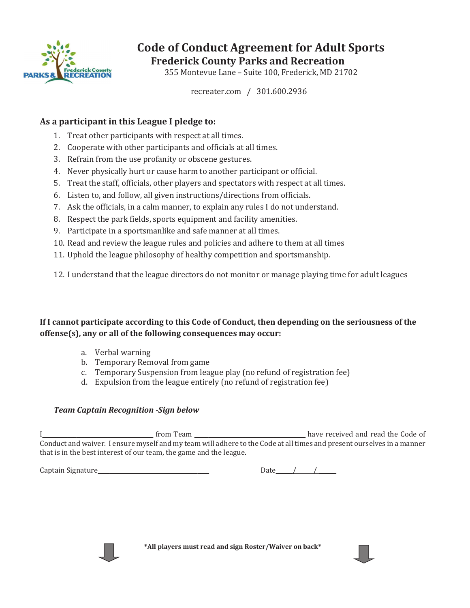

# Code of Conduct Agreement for Adult Sports Frederick County Parks and Recreation

355 Montevue Lane - Suite 100, Frederick, MD 21702

recreater.com / 301.600.2936

### As a participant in this League I pledge to:

- 1. Treat other participants with respect at all times.
- 2. Cooperate with other participants and officials at all times.
- 3. Refrain from the use profanity or obscene gestures.
- 4. Never physically hurt or cause harm to another participant or official.
- 5. Treat the staff, officials, other players and spectators with respect at all times.
- 6. Listen to, and follow, all given instructions/directions from officials.
- 7. Ask the officials, in a calm manner, to explain any rules I do not understand.
- 8. Respect the park fields, sports equipment and facility amenities.
- 9. Participate in a sportsmanlike and safe manner at all times.
- 10. Read and review the league rules and policies and adhere to them at all times
- 11. Uphold the league philosophy of healthy competition and sportsmanship.

12. I understand that the league directors do not monitor or manage playing time for adult leagues

#### If I cannot participate according to this Code of Conduct, then depending on the seriousness of the offense(s), any or all of the following consequences may occur:

- a. Verbal warning
- b. Temporary Removal from game
- c. Temporary Suspension from league play (no refund of registration fee)
- d. Expulsion from the league entirely (no refund of registration fee)

#### *Team Captain Recognition -Sign below*

̴̴̴̴̴̴̴̴̴̴̴̴̴̴̴̴̴̴̴̴̴̴̴̴̴̴̴̴̴̴̴̴̴̴̴̴̴̴̴ ̴̴̴̴̴̴̴̴̴̴̴̴̴̴̴̴̴̴̴̴̴̴̴̴̴̴̴̴̴̴̴̴̴̴̴̴̴̴̴ Conduct and waiver. I ensure myself and my team will adhere to the Code at all times and present ourselves in a manner that is in the best interest of our team, the game and the league.

̴̴̴̴̴̴̴̴̴̴̴̴̴̴̴̴̴̴̴̴̴̴̴̴̴̴̴̴̴̴̴̴̴̴̴̴̴̴̴ ̴̴̴̴̴̴ȀȀ̴̴̴̴̴̴